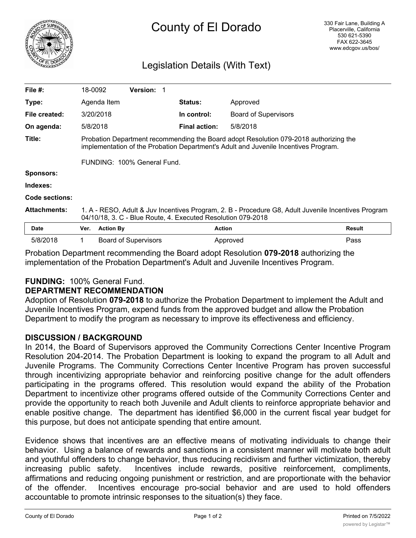

# County of El Dorado

# Legislation Details (With Text)

| File $#$ :          | 18-0092                                                                                                                                                                      |                  | <b>Version: 1</b>           |  |                      |                             |               |
|---------------------|------------------------------------------------------------------------------------------------------------------------------------------------------------------------------|------------------|-----------------------------|--|----------------------|-----------------------------|---------------|
| Type:               |                                                                                                                                                                              | Agenda Item      |                             |  | <b>Status:</b>       | Approved                    |               |
| File created:       |                                                                                                                                                                              | 3/20/2018        |                             |  | In control:          | <b>Board of Supervisors</b> |               |
| On agenda:          | 5/8/2018                                                                                                                                                                     |                  |                             |  | <b>Final action:</b> | 5/8/2018                    |               |
| Title:              | Probation Department recommending the Board adopt Resolution 079-2018 authorizing the<br>implementation of the Probation Department's Adult and Juvenile Incentives Program. |                  |                             |  |                      |                             |               |
|                     | FUNDING: 100% General Fund.                                                                                                                                                  |                  |                             |  |                      |                             |               |
| Sponsors:           |                                                                                                                                                                              |                  |                             |  |                      |                             |               |
| Indexes:            |                                                                                                                                                                              |                  |                             |  |                      |                             |               |
| Code sections:      |                                                                                                                                                                              |                  |                             |  |                      |                             |               |
| <b>Attachments:</b> | 1. A - RESO, Adult & Juv Incentives Program, 2. B - Procedure G8, Adult Juvenile Incentives Program<br>04/10/18, 3. C - Blue Route, 4. Executed Resolution 079-2018          |                  |                             |  |                      |                             |               |
| Date                | Ver.                                                                                                                                                                         | <b>Action By</b> |                             |  | <b>Action</b>        |                             | <b>Result</b> |
| 5/8/2018            |                                                                                                                                                                              |                  | <b>Board of Supervisors</b> |  |                      | Approved                    | Pass          |

Probation Department recommending the Board adopt Resolution **079-2018** authorizing the implementation of the Probation Department's Adult and Juvenile Incentives Program.

## **FUNDING:** 100% General Fund.

#### **DEPARTMENT RECOMMENDATION**

Adoption of Resolution **079-2018** to authorize the Probation Department to implement the Adult and Juvenile Incentives Program, expend funds from the approved budget and allow the Probation Department to modify the program as necessary to improve its effectiveness and efficiency.

#### **DISCUSSION / BACKGROUND**

In 2014, the Board of Supervisors approved the Community Corrections Center Incentive Program Resolution 204-2014. The Probation Department is looking to expand the program to all Adult and Juvenile Programs. The Community Corrections Center Incentive Program has proven successful through incentivizing appropriate behavior and reinforcing positive change for the adult offenders participating in the programs offered. This resolution would expand the ability of the Probation Department to incentivize other programs offered outside of the Community Corrections Center and provide the opportunity to reach both Juvenile and Adult clients to reinforce appropriate behavior and enable positive change. The department has identified \$6,000 in the current fiscal year budget for this purpose, but does not anticipate spending that entire amount.

Evidence shows that incentives are an effective means of motivating individuals to change their behavior. Using a balance of rewards and sanctions in a consistent manner will motivate both adult and youthful offenders to change behavior, thus reducing recidivism and further victimization, thereby increasing public safety. Incentives include rewards, positive reinforcement, compliments, affirmations and reducing ongoing punishment or restriction, and are proportionate with the behavior of the offender. Incentives encourage pro-social behavior and are used to hold offenders accountable to promote intrinsic responses to the situation(s) they face.